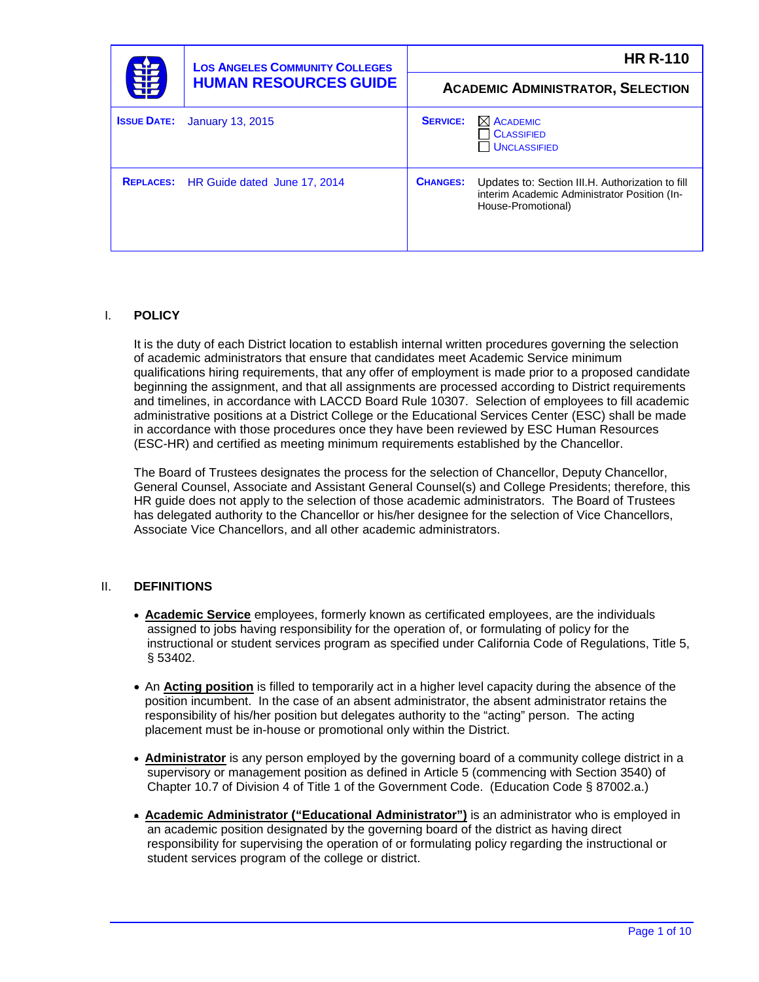| 菲                  | <b>LOS ANGELES COMMUNITY COLLEGES</b><br><b>HUMAN RESOURCES GUIDE</b> | <b>HR R-110</b> |                                                                                                                        |
|--------------------|-----------------------------------------------------------------------|-----------------|------------------------------------------------------------------------------------------------------------------------|
|                    |                                                                       |                 | <b>ACADEMIC ADMINISTRATOR, SELECTION</b>                                                                               |
| <b>ISSUE DATE:</b> | <b>January 13, 2015</b>                                               | <b>SERVICE:</b> | $\boxtimes$ ACADEMIC<br><b>CLASSIFIED</b><br><b>UNCLASSIFIED</b>                                                       |
|                    | REPLACES: HR Guide dated June 17, 2014                                | <b>CHANGES:</b> | Updates to: Section III.H. Authorization to fill<br>interim Academic Administrator Position (In-<br>House-Promotional) |

# I. **POLICY**

It is the duty of each District location to establish internal written procedures governing the selection of academic administrators that ensure that candidates meet Academic Service minimum qualifications hiring requirements, that any offer of employment is made prior to a proposed candidate beginning the assignment, and that all assignments are processed according to District requirements and timelines, in accordance with LACCD Board Rule 10307. Selection of employees to fill academic administrative positions at a District College or the Educational Services Center (ESC) shall be made in accordance with those procedures once they have been reviewed by ESC Human Resources (ESC-HR) and certified as meeting minimum requirements established by the Chancellor.

The Board of Trustees designates the process for the selection of Chancellor, Deputy Chancellor, General Counsel, Associate and Assistant General Counsel(s) and College Presidents; therefore, this HR guide does not apply to the selection of those academic administrators. The Board of Trustees has delegated authority to the Chancellor or his/her designee for the selection of Vice Chancellors, Associate Vice Chancellors, and all other academic administrators.

# II. **DEFINITIONS**

- **Academic Service** employees, formerly known as certificated employees, are the individuals assigned to jobs having responsibility for the operation of, or formulating of policy for the instructional or student services program as specified under California Code of Regulations, Title 5, § 53402.
- An **Acting position** is filled to temporarily act in a higher level capacity during the absence of the position incumbent. In the case of an absent administrator, the absent administrator retains the responsibility of his/her position but delegates authority to the "acting" person. The acting placement must be in-house or promotional only within the District.
- **Administrator** is any person employed by the governing board of a community college district in a supervisory or management position as defined in Article 5 (commencing with Section 3540) of Chapter 10.7 of Division 4 of Title 1 of the Government Code. (Education Code § 87002.a.)
- **Academic Administrator ("Educational Administrator")** is an administrator who is employed in an academic position designated by the governing board of the district as having direct responsibility for supervising the operation of or formulating policy regarding the instructional or student services program of the college or district.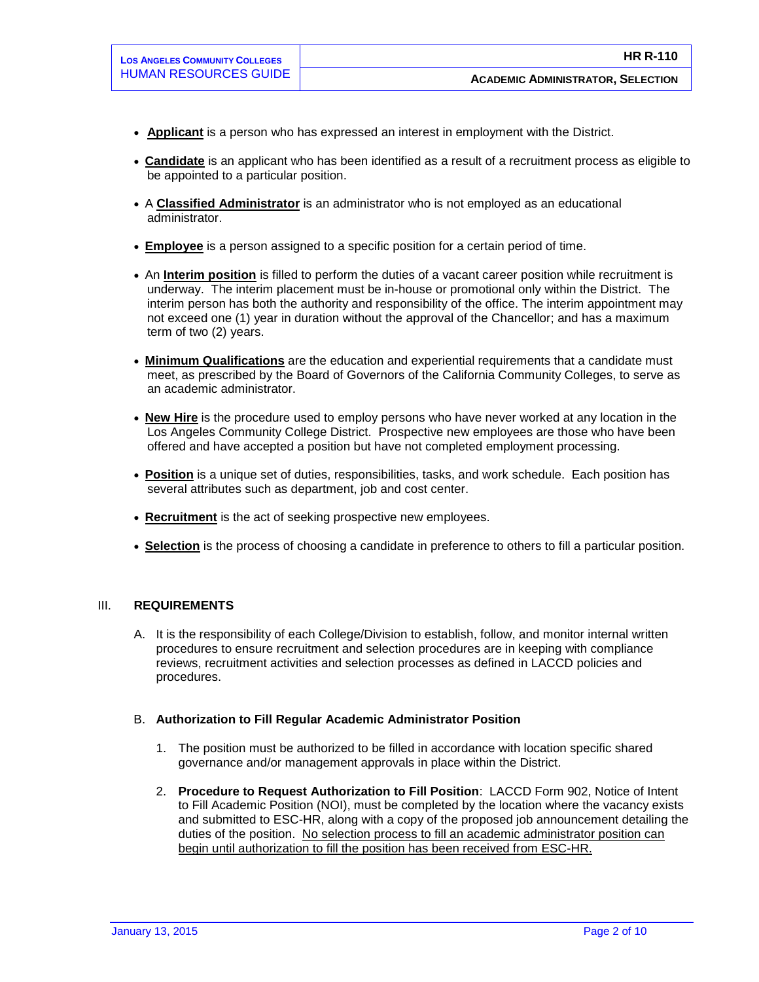- **Applicant** is a person who has expressed an interest in employment with the District.
- **Candidate** is an applicant who has been identified as a result of a recruitment process as eligible to be appointed to a particular position.
- A **Classified Administrator** is an administrator who is not employed as an educational administrator.
- **Employee** is a person assigned to a specific position for a certain period of time.
- An **Interim position** is filled to perform the duties of a vacant career position while recruitment is underway. The interim placement must be in-house or promotional only within the District. The interim person has both the authority and responsibility of the office. The interim appointment may not exceed one (1) year in duration without the approval of the Chancellor; and has a maximum term of two (2) years.
- **Minimum Qualifications** are the education and experiential requirements that a candidate must meet, as prescribed by the Board of Governors of the California Community Colleges, to serve as an academic administrator.
- **New Hire** is the procedure used to employ persons who have never worked at any location in the Los Angeles Community College District. Prospective new employees are those who have been offered and have accepted a position but have not completed employment processing.
- **Position** is a unique set of duties, responsibilities, tasks, and work schedule. Each position has several attributes such as department, job and cost center.
- **Recruitment** is the act of seeking prospective new employees.
- **Selection** is the process of choosing a candidate in preference to others to fill a particular position.

#### III. **REQUIREMENTS**

A. It is the responsibility of each College/Division to establish, follow, and monitor internal written procedures to ensure recruitment and selection procedures are in keeping with compliance reviews, recruitment activities and selection processes as defined in LACCD policies and procedures.

#### B. **Authorization to Fill Regular Academic Administrator Position**

- 1. The position must be authorized to be filled in accordance with location specific shared governance and/or management approvals in place within the District.
- 2. **Procedure to Request Authorization to Fill Position**: LACCD Form 902, Notice of Intent to Fill Academic Position (NOI), must be completed by the location where the vacancy exists and submitted to ESC-HR, along with a copy of the proposed job announcement detailing the duties of the position. No selection process to fill an academic administrator position can begin until authorization to fill the position has been received from ESC-HR.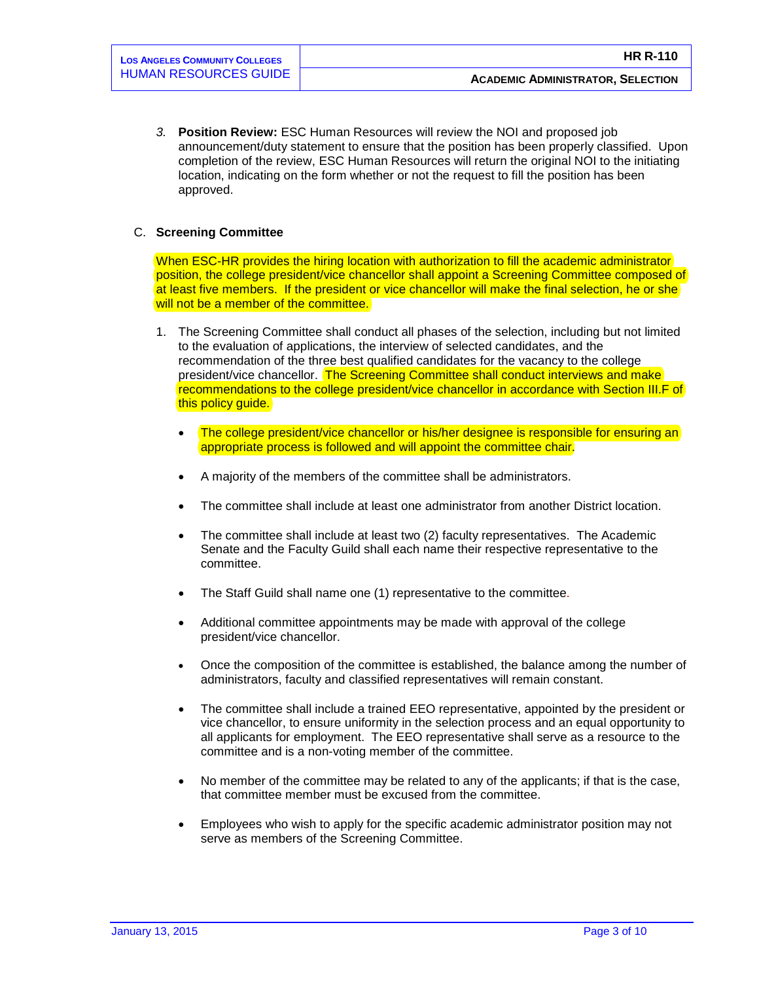*3.* **Position Review:** ESC Human Resources will review the NOI and proposed job announcement/duty statement to ensure that the position has been properly classified. Upon completion of the review, ESC Human Resources will return the original NOI to the initiating location, indicating on the form whether or not the request to fill the position has been approved.

## C. **Screening Committee**

When ESC-HR provides the hiring location with authorization to fill the academic administrator position, the college president/vice chancellor shall appoint a Screening Committee composed of at least five members. If the president or vice chancellor will make the final selection, he or she will not be a member of the committee.

- 1. The Screening Committee shall conduct all phases of the selection, including but not limited to the evaluation of applications, the interview of selected candidates, and the recommendation of the three best qualified candidates for the vacancy to the college president/vice chancellor. The Screening Committee shall conduct interviews and make recommendations to the college president/vice chancellor in accordance with Section III.F of this policy guide.
	- The college president/vice chancellor or his/her designee is responsible for ensuring an appropriate process is followed and will appoint the committee chair.
	- A majority of the members of the committee shall be administrators.
	- The committee shall include at least one administrator from another District location.
	- The committee shall include at least two (2) faculty representatives. The Academic Senate and the Faculty Guild shall each name their respective representative to the committee.
	- The Staff Guild shall name one (1) representative to the committee.
	- Additional committee appointments may be made with approval of the college president/vice chancellor.
	- Once the composition of the committee is established, the balance among the number of administrators, faculty and classified representatives will remain constant.
	- The committee shall include a trained EEO representative, appointed by the president or vice chancellor, to ensure uniformity in the selection process and an equal opportunity to all applicants for employment. The EEO representative shall serve as a resource to the committee and is a non-voting member of the committee.
	- No member of the committee may be related to any of the applicants; if that is the case, that committee member must be excused from the committee.
	- Employees who wish to apply for the specific academic administrator position may not serve as members of the Screening Committee.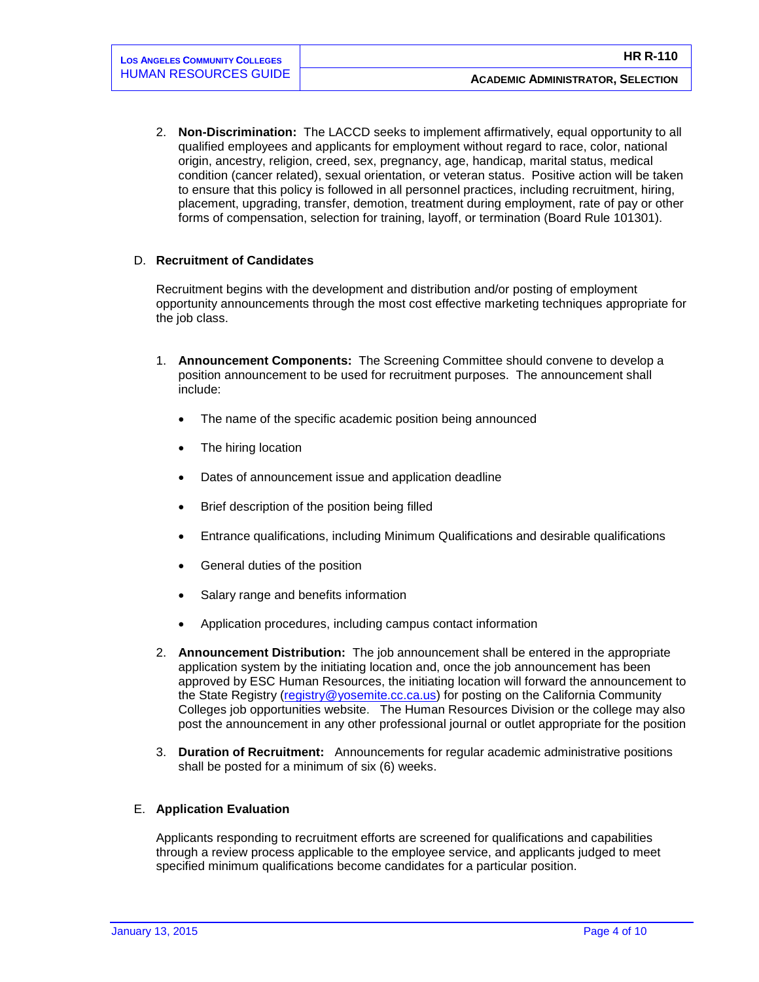2. **Non-Discrimination:** The LACCD seeks to implement affirmatively, equal opportunity to all qualified employees and applicants for employment without regard to race, color, national origin, ancestry, religion, creed, sex, pregnancy, age, handicap, marital status, medical condition (cancer related), sexual orientation, or veteran status. Positive action will be taken to ensure that this policy is followed in all personnel practices, including recruitment, hiring, placement, upgrading, transfer, demotion, treatment during employment, rate of pay or other forms of compensation, selection for training, layoff, or termination (Board Rule 101301).

## D. **Recruitment of Candidates**

Recruitment begins with the development and distribution and/or posting of employment opportunity announcements through the most cost effective marketing techniques appropriate for the job class.

- 1. **Announcement Components:** The Screening Committee should convene to develop a position announcement to be used for recruitment purposes.The announcement shall include:
	- The name of the specific academic position being announced
	- The hiring location
	- Dates of announcement issue and application deadline
	- Brief description of the position being filled
	- Entrance qualifications, including Minimum Qualifications and desirable qualifications
	- General duties of the position
	- Salary range and benefits information
	- Application procedures, including campus contact information
- 2. **Announcement Distribution:** The job announcement shall be entered in the appropriate application system by the initiating location and, once the job announcement has been approved by ESC Human Resources, the initiating location will forward the announcement to the State Registry [\(registry@yosemite.cc.ca.us\)](mailto:registry@yosemite.cc.ca.us) for posting on the California Community Colleges job opportunities website. The Human Resources Division or the college may also post the announcement in any other professional journal or outlet appropriate for the position
- 3. **Duration of Recruitment:** Announcements for regular academic administrative positions shall be posted for a minimum of six (6) weeks.

#### E. **Application Evaluation**

Applicants responding to recruitment efforts are screened for qualifications and capabilities through a review process applicable to the employee service, and applicants judged to meet specified minimum qualifications become candidates for a particular position.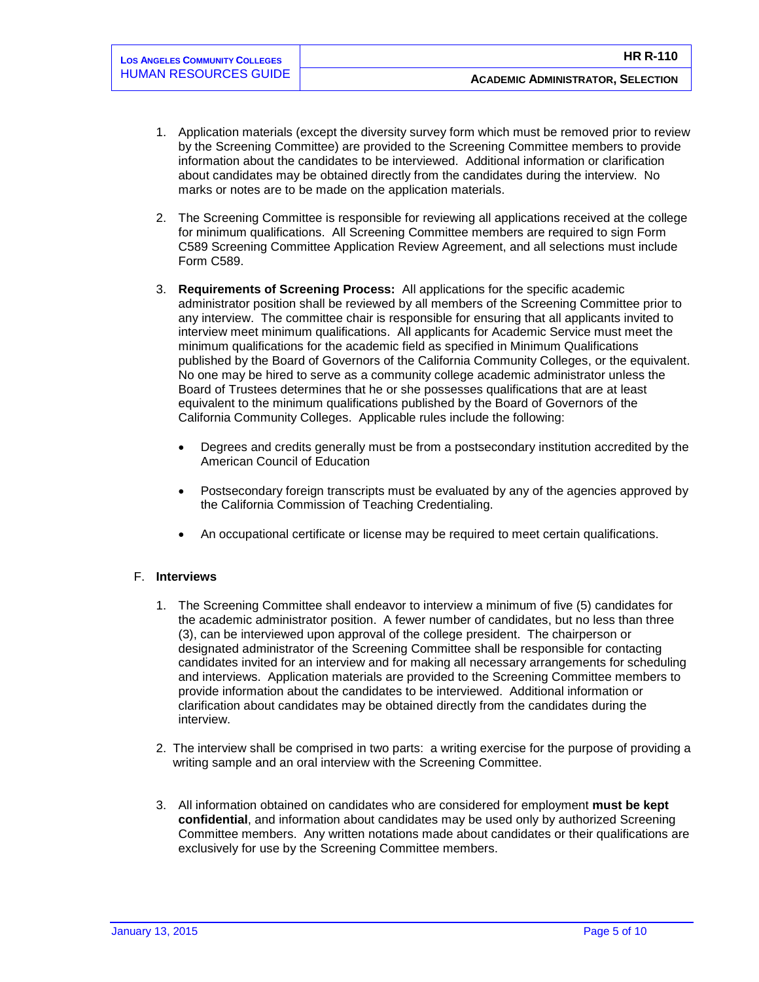- 1. Application materials (except the diversity survey form which must be removed prior to review by the Screening Committee) are provided to the Screening Committee members to provide information about the candidates to be interviewed. Additional information or clarification about candidates may be obtained directly from the candidates during the interview. No marks or notes are to be made on the application materials.
- 2. The Screening Committee is responsible for reviewing all applications received at the college for minimum qualifications. All Screening Committee members are required to sign Form C589 Screening Committee Application Review Agreement, and all selections must include Form C589.
- 3. **Requirements of Screening Process:** All applications for the specific academic administrator position shall be reviewed by all members of the Screening Committee prior to any interview. The committee chair is responsible for ensuring that all applicants invited to interview meet minimum qualifications. All applicants for Academic Service must meet the minimum qualifications for the academic field as specified in Minimum Qualifications published by the Board of Governors of the California Community Colleges, or the equivalent. No one may be hired to serve as a community college academic administrator unless the Board of Trustees determines that he or she possesses qualifications that are at least equivalent to the minimum qualifications published by the Board of Governors of the California Community Colleges. Applicable rules include the following:
	- Degrees and credits generally must be from a postsecondary institution accredited by the American Council of Education
	- Postsecondary foreign transcripts must be evaluated by any of the agencies approved by the California Commission of Teaching Credentialing.
	- An occupational certificate or license may be required to meet certain qualifications.

# F. **Interviews**

- 1. The Screening Committee shall endeavor to interview a minimum of five (5) candidates for the academic administrator position. A fewer number of candidates, but no less than three (3), can be interviewed upon approval of the college president. The chairperson or designated administrator of the Screening Committee shall be responsible for contacting candidates invited for an interview and for making all necessary arrangements for scheduling and interviews. Application materials are provided to the Screening Committee members to provide information about the candidates to be interviewed. Additional information or clarification about candidates may be obtained directly from the candidates during the interview.
- 2. The interview shall be comprised in two parts: a writing exercise for the purpose of providing a writing sample and an oral interview with the Screening Committee.
- 3. All information obtained on candidates who are considered for employment **must be kept confidential**, and information about candidates may be used only by authorized Screening Committee members. Any written notations made about candidates or their qualifications are exclusively for use by the Screening Committee members.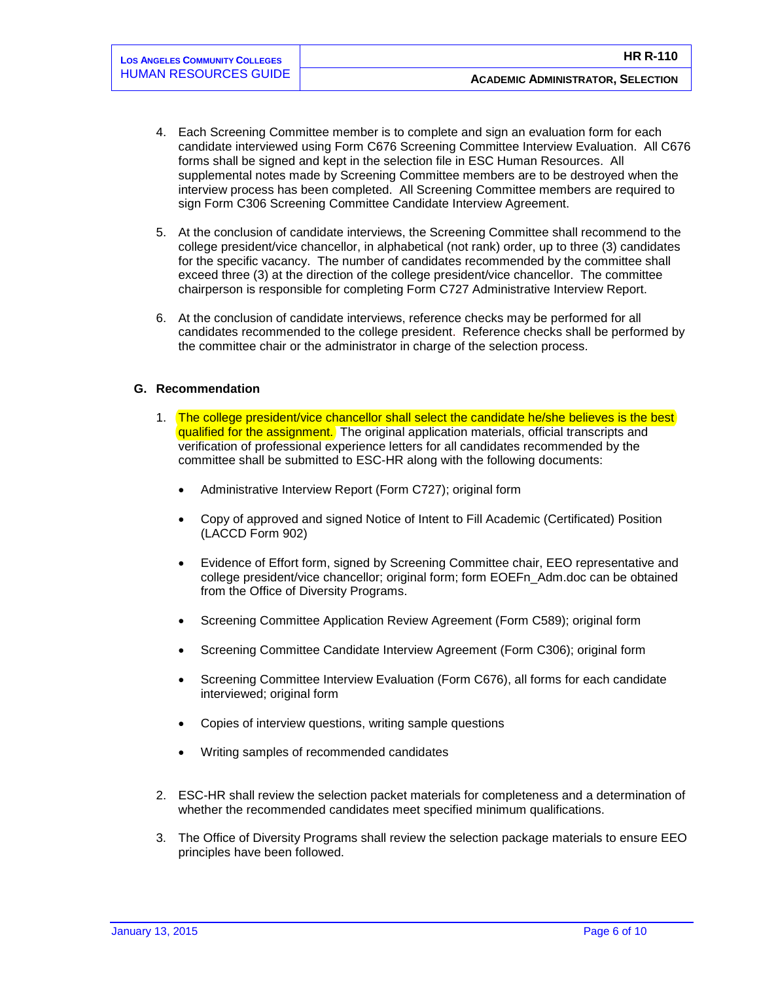- 4. Each Screening Committee member is to complete and sign an evaluation form for each candidate interviewed using Form C676 Screening Committee Interview Evaluation. All C676 forms shall be signed and kept in the selection file in ESC Human Resources. All supplemental notes made by Screening Committee members are to be destroyed when the interview process has been completed. All Screening Committee members are required to sign Form C306 Screening Committee Candidate Interview Agreement.
- 5. At the conclusion of candidate interviews, the Screening Committee shall recommend to the college president/vice chancellor, in alphabetical (not rank) order, up to three (3) candidates for the specific vacancy. The number of candidates recommended by the committee shall exceed three (3) at the direction of the college president/vice chancellor. The committee chairperson is responsible for completing Form C727 Administrative Interview Report.
- 6. At the conclusion of candidate interviews, reference checks may be performed for all candidates recommended to the college president. Reference checks shall be performed by the committee chair or the administrator in charge of the selection process.

## **G. Recommendation**

- 1. The college president/vice chancellor shall select the candidate he/she believes is the best qualified for the assignment. The original application materials, official transcripts and verification of professional experience letters for all candidates recommended by the committee shall be submitted to ESC-HR along with the following documents:
	- Administrative Interview Report (Form C727); original form
	- Copy of approved and signed Notice of Intent to Fill Academic (Certificated) Position (LACCD Form 902)
	- Evidence of Effort form, signed by Screening Committee chair, EEO representative and college president/vice chancellor; original form; form EOEFn\_Adm.doc can be obtained from the Office of Diversity Programs.
	- Screening Committee Application Review Agreement (Form C589); original form
	- Screening Committee Candidate Interview Agreement (Form C306); original form
	- Screening Committee Interview Evaluation (Form C676), all forms for each candidate interviewed; original form
	- Copies of interview questions, writing sample questions
	- Writing samples of recommended candidates
- 2. ESC-HR shall review the selection packet materials for completeness and a determination of whether the recommended candidates meet specified minimum qualifications.
- 3. The Office of Diversity Programs shall review the selection package materials to ensure EEO principles have been followed.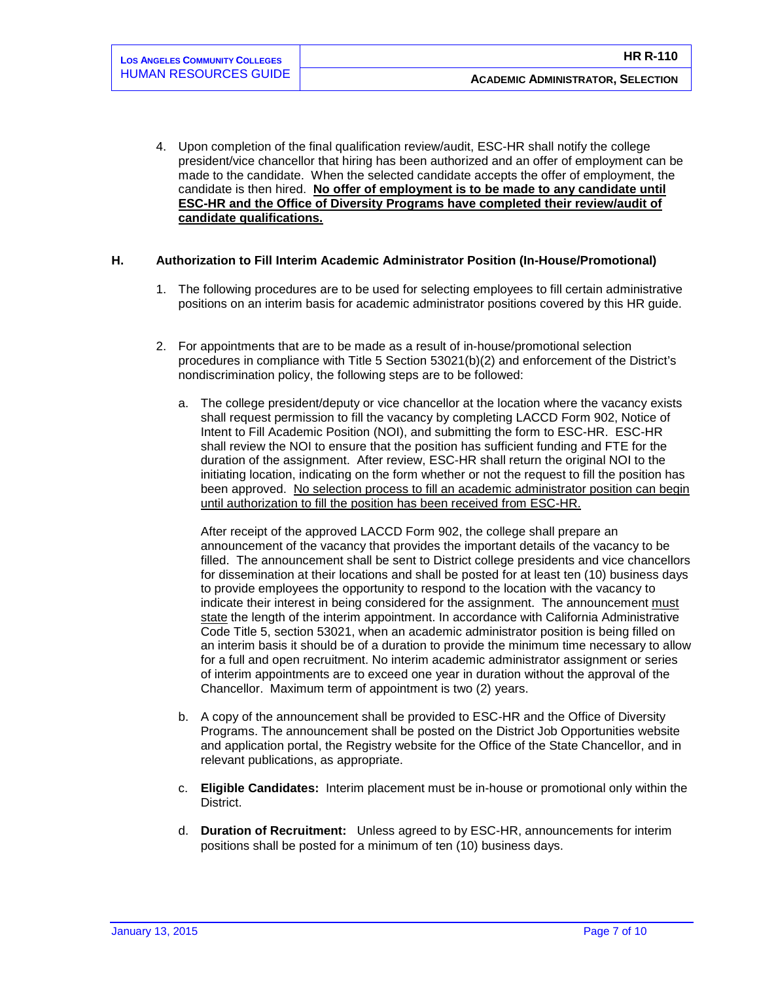4. Upon completion of the final qualification review/audit, ESC-HR shall notify the college president/vice chancellor that hiring has been authorized and an offer of employment can be made to the candidate. When the selected candidate accepts the offer of employment, the candidate is then hired. **No offer of employment is to be made to any candidate until ESC-HR and the Office of Diversity Programs have completed their review/audit of candidate qualifications.**

## **H. Authorization to Fill Interim Academic Administrator Position (In-House/Promotional)**

- 1. The following procedures are to be used for selecting employees to fill certain administrative positions on an interim basis for academic administrator positions covered by this HR guide.
- 2. For appointments that are to be made as a result of in-house/promotional selection procedures in compliance with Title 5 Section 53021(b)(2) and enforcement of the District's nondiscrimination policy, the following steps are to be followed:
	- a. The college president/deputy or vice chancellor at the location where the vacancy exists shall request permission to fill the vacancy by completing LACCD Form 902, Notice of Intent to Fill Academic Position (NOI), and submitting the form to ESC-HR. ESC-HR shall review the NOI to ensure that the position has sufficient funding and FTE for the duration of the assignment. After review, ESC-HR shall return the original NOI to the initiating location, indicating on the form whether or not the request to fill the position has been approved. No selection process to fill an academic administrator position can begin until authorization to fill the position has been received from ESC-HR.

After receipt of the approved LACCD Form 902, the college shall prepare an announcement of the vacancy that provides the important details of the vacancy to be filled. The announcement shall be sent to District college presidents and vice chancellors for dissemination at their locations and shall be posted for at least ten (10) business days to provide employees the opportunity to respond to the location with the vacancy to indicate their interest in being considered for the assignment. The announcement must state the length of the interim appointment. In accordance with California Administrative Code Title 5, section 53021, when an academic administrator position is being filled on an interim basis it should be of a duration to provide the minimum time necessary to allow for a full and open recruitment. No interim academic administrator assignment or series of interim appointments are to exceed one year in duration without the approval of the Chancellor. Maximum term of appointment is two (2) years.

- b. A copy of the announcement shall be provided to ESC-HR and the Office of Diversity Programs. The announcement shall be posted on the District Job Opportunities website and application portal, the Registry website for the Office of the State Chancellor, and in relevant publications, as appropriate.
- c. **Eligible Candidates:** Interim placement must be in-house or promotional only within the District.
- d. **Duration of Recruitment:** Unless agreed to by ESC-HR, announcements for interim positions shall be posted for a minimum of ten (10) business days.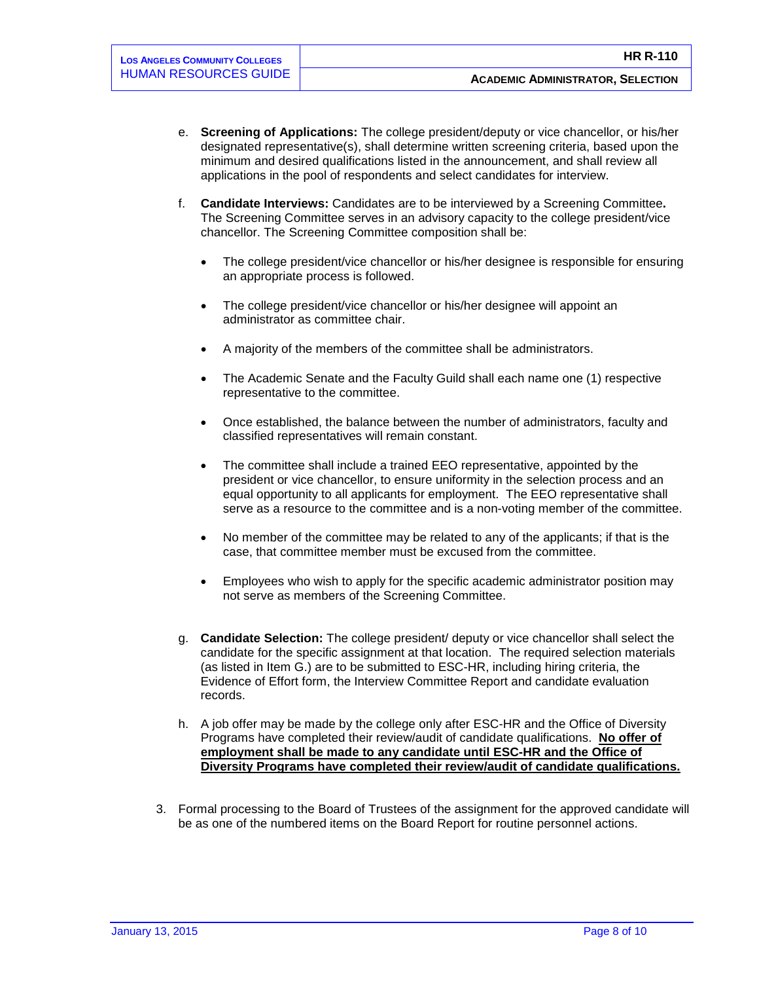- e. **Screening of Applications:** The college president/deputy or vice chancellor, or his/her designated representative(s), shall determine written screening criteria, based upon the minimum and desired qualifications listed in the announcement, and shall review all applications in the pool of respondents and select candidates for interview.
- f. **Candidate Interviews:** Candidates are to be interviewed by a Screening Committee**.**  The Screening Committee serves in an advisory capacity to the college president/vice chancellor. The Screening Committee composition shall be:
	- The college president/vice chancellor or his/her designee is responsible for ensuring an appropriate process is followed.
	- The college president/vice chancellor or his/her designee will appoint an administrator as committee chair.
	- A majority of the members of the committee shall be administrators.
	- The Academic Senate and the Faculty Guild shall each name one (1) respective representative to the committee.
	- Once established, the balance between the number of administrators, faculty and classified representatives will remain constant.
	- The committee shall include a trained EEO representative, appointed by the president or vice chancellor, to ensure uniformity in the selection process and an equal opportunity to all applicants for employment. The EEO representative shall serve as a resource to the committee and is a non-voting member of the committee.
	- No member of the committee may be related to any of the applicants; if that is the case, that committee member must be excused from the committee.
	- Employees who wish to apply for the specific academic administrator position may not serve as members of the Screening Committee.
- g. **Candidate Selection:** The college president/ deputy or vice chancellor shall select the candidate for the specific assignment at that location. The required selection materials (as listed in Item G.) are to be submitted to ESC-HR, including hiring criteria, the Evidence of Effort form, the Interview Committee Report and candidate evaluation records.
- h. A job offer may be made by the college only after ESC-HR and the Office of Diversity Programs have completed their review/audit of candidate qualifications. **No offer of employment shall be made to any candidate until ESC-HR and the Office of Diversity Programs have completed their review/audit of candidate qualifications.**
- 3. Formal processing to the Board of Trustees of the assignment for the approved candidate will be as one of the numbered items on the Board Report for routine personnel actions.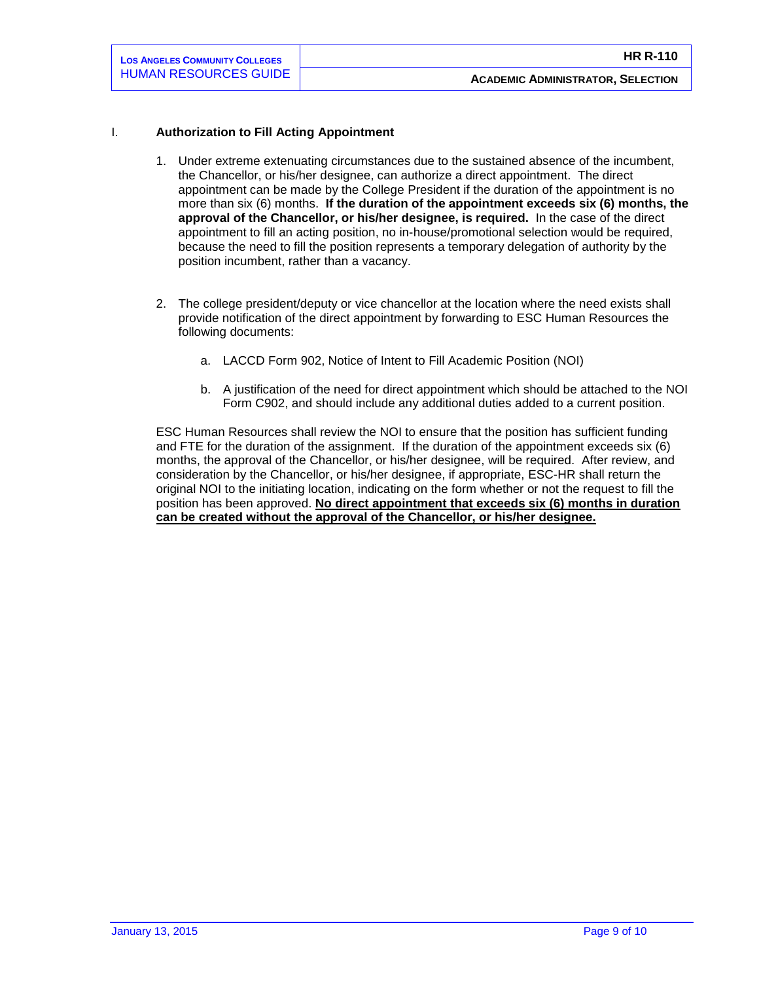## I. **Authorization to Fill Acting Appointment**

- 1. Under extreme extenuating circumstances due to the sustained absence of the incumbent, the Chancellor, or his/her designee, can authorize a direct appointment. The direct appointment can be made by the College President if the duration of the appointment is no more than six (6) months. **If the duration of the appointment exceeds six (6) months, the approval of the Chancellor, or his/her designee, is required.** In the case of the direct appointment to fill an acting position, no in-house/promotional selection would be required, because the need to fill the position represents a temporary delegation of authority by the position incumbent, rather than a vacancy.
- 2. The college president/deputy or vice chancellor at the location where the need exists shall provide notification of the direct appointment by forwarding to ESC Human Resources the following documents:
	- a. LACCD Form 902, Notice of Intent to Fill Academic Position (NOI)
	- b. A justification of the need for direct appointment which should be attached to the NOI Form C902, and should include any additional duties added to a current position.

ESC Human Resources shall review the NOI to ensure that the position has sufficient funding and FTE for the duration of the assignment. If the duration of the appointment exceeds six (6) months, the approval of the Chancellor, or his/her designee, will be required. After review, and consideration by the Chancellor, or his/her designee, if appropriate, ESC-HR shall return the original NOI to the initiating location, indicating on the form whether or not the request to fill the position has been approved. **No direct appointment that exceeds six (6) months in duration can be created without the approval of the Chancellor, or his/her designee.**